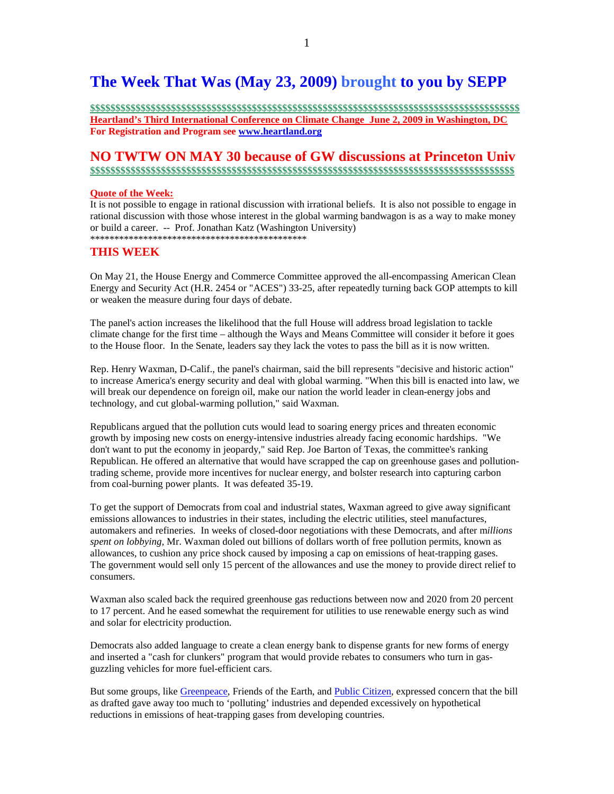# **The Week That Was (May 23, 2009) brought to you by SEPP**

**\$\$\$\$\$\$\$\$\$\$\$\$\$\$\$\$\$\$\$\$\$\$\$\$\$\$\$\$\$\$\$\$\$\$\$\$\$\$\$\$\$\$\$\$\$\$\$\$\$\$\$\$\$\$\$\$\$\$\$\$\$\$\$\$\$\$\$\$\$\$\$\$\$\$\$\$\$\$\$\$\$\$\$\$\$ Heartland's Third International Conference on Climate Change June 2, 2009 in Washington, DC For Registration and Program see www.heartland.org** 

## **NO TWTW ON MAY 30 because of GW discussions at Princeton Univ \$\$\$\$\$\$\$\$\$\$\$\$\$\$\$\$\$\$\$\$\$\$\$\$\$\$\$\$\$\$\$\$\$\$\$\$\$\$\$\$\$\$\$\$\$\$\$\$\$\$\$\$\$\$\$\$\$\$\$\$\$\$\$\$\$\$\$\$\$\$\$\$\$\$\$\$\$\$\$\$\$\$\$\$**

#### **Quote of the Week:**

It is not possible to engage in rational discussion with irrational beliefs. It is also not possible to engage in rational discussion with those whose interest in the global warming bandwagon is as a way to make money or build a career. -- Prof. Jonathan Katz (Washington University) \*\*\*\*\*\*\*\*\*\*\*\*\*\*\*\*\*\*\*\*\*\*\*\*\*\*\*\*\*\*\*\*\*\*\*\*\*\*\*\*\*\*\*\*\*

### **THIS WEEK**

On May 21, the House Energy and Commerce Committee approved the all-encompassing American Clean Energy and Security Act (H.R. 2454 or "ACES") 33-25, after repeatedly turning back GOP attempts to kill or weaken the measure during four days of debate.

The panel's action increases the likelihood that the full House will address broad legislation to tackle climate change for the first time – although the Ways and Means Committee will consider it before it goes to the House floor. In the Senate, leaders say they lack the votes to pass the bill as it is now written.

Rep. Henry Waxman, D-Calif., the panel's chairman, said the bill represents "decisive and historic action" to increase America's energy security and deal with global warming. "When this bill is enacted into law, we will break our dependence on foreign oil, make our nation the world leader in clean-energy jobs and technology, and cut global-warming pollution," said Waxman.

Republicans argued that the pollution cuts would lead to soaring energy prices and threaten economic growth by imposing new costs on energy-intensive industries already facing economic hardships. "We don't want to put the economy in jeopardy," said Rep. Joe Barton of Texas, the committee's ranking Republican. He offered an alternative that would have scrapped the cap on greenhouse gases and pollutiontrading scheme, provide more incentives for nuclear energy, and bolster research into capturing carbon from coal-burning power plants. It was defeated 35-19.

To get the support of Democrats from coal and industrial states, Waxman agreed to give away significant emissions allowances to industries in their states, including the electric utilities, steel manufactures, automakers and refineries. In weeks of closed-door negotiations with these Democrats, and after m*illions spent on lobbying,* Mr. Waxman doled out billions of dollars worth of free pollution permits, known as allowances, to cushion any price shock caused by imposing a cap on emissions of heat-trapping gases. The government would sell only 15 percent of the allowances and use the money to provide direct relief to consumers.

Waxman also scaled back the required greenhouse gas reductions between now and 2020 from 20 percent to 17 percent. And he eased somewhat the requirement for utilities to use renewable energy such as wind and solar for electricity production.

Democrats also added language to create a clean energy bank to dispense grants for new forms of energy and inserted a "cash for clunkers" program that would provide rebates to consumers who turn in gasguzzling vehicles for more fuel-efficient cars.

But some groups, like Greenpeace, Friends of the Earth, and Public Citizen, expressed concern that the bill as drafted gave away too much to 'polluting' industries and depended excessively on hypothetical reductions in emissions of heat-trapping gases from developing countries.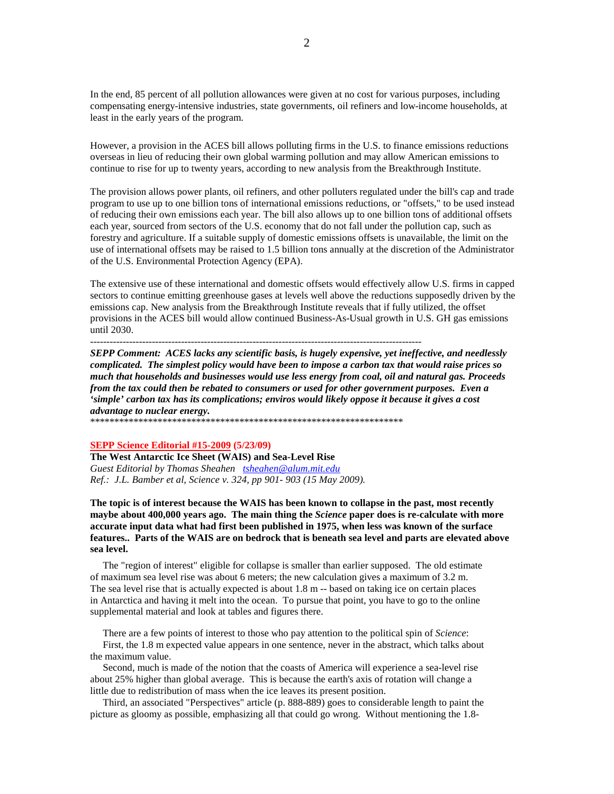In the end, 85 percent of all pollution allowances were given at no cost for various purposes, including compensating energy-intensive industries, state governments, oil refiners and low-income households, at least in the early years of the program.

However, a provision in the ACES bill allows polluting firms in the U.S. to finance emissions reductions overseas in lieu of reducing their own global warming pollution and may allow American emissions to continue to rise for up to twenty years, according to new analysis from the Breakthrough Institute.

The provision allows power plants, oil refiners, and other polluters regulated under the bill's cap and trade program to use up to one billion tons of international emissions reductions, or "offsets," to be used instead of reducing their own emissions each year. The bill also allows up to one billion tons of additional offsets each year, sourced from sectors of the U.S. economy that do not fall under the pollution cap, such as forestry and agriculture. If a suitable supply of domestic emissions offsets is unavailable, the limit on the use of international offsets may be raised to 1.5 billion tons annually at the discretion of the Administrator of the U.S. Environmental Protection Agency (EPA).

The extensive use of these international and domestic offsets would effectively allow U.S. firms in capped sectors to continue emitting greenhouse gases at levels well above the reductions supposedly driven by the emissions cap. New analysis from the Breakthrough Institute reveals that if fully utilized, the offset provisions in the ACES bill would allow continued Business-As-Usual growth in U.S. GH gas emissions until 2030.

------------------------------------------------------------------------------------------------------

*SEPP Comment: ACES lacks any scientific basis, is hugely expensive, yet ineffective, and needlessly complicated. The simplest policy would have been to impose a carbon tax that would raise prices so much that households and businesses would use less energy from coal, oil and natural gas. Proceeds from the tax could then be rebated to consumers or used for other government purposes. Even a 'simple' carbon tax has its complications; enviros would likely oppose it because it gives a cost advantage to nuclear energy.* 

\*\*\*\*\*\*\*\*\*\*\*\*\*\*\*\*\*\*\*\*\*\*\*\*\*\*\*\*\*\*\*\*\*\*\*\*\*\*\*\*\*\*\*\*\*\*\*\*\*\*\*\*\*\*\*\*\*\*\*\*\*\*\*\*\*

### **SEPP Science Editorial #15-2009 (5/23/09)**

**The West Antarctic Ice Sheet (WAIS) and Sea-Level Rise**  *Guest Editorial by Thomas Sheahen tsheahen@alum.mit.edu Ref.: J.L. Bamber et al, Science v. 324, pp 901- 903 (15 May 2009).* 

**The topic is of interest because the WAIS has been known to collapse in the past, most recently maybe about 400,000 years ago. The main thing the** *Science* **paper does is re-calculate with more accurate input data what had first been published in 1975, when less was known of the surface features.. Parts of the WAIS are on bedrock that is beneath sea level and parts are elevated above sea level.** 

 The "region of interest" eligible for collapse is smaller than earlier supposed. The old estimate of maximum sea level rise was about 6 meters; the new calculation gives a maximum of 3.2 m. The sea level rise that is actually expected is about 1.8 m -- based on taking ice on certain places in Antarctica and having it melt into the ocean. To pursue that point, you have to go to the online supplemental material and look at tables and figures there.

There are a few points of interest to those who pay attention to the political spin of *Science*:

 First, the 1.8 m expected value appears in one sentence, never in the abstract, which talks about the maximum value.

 Second, much is made of the notion that the coasts of America will experience a sea-level rise about 25% higher than global average. This is because the earth's axis of rotation will change a little due to redistribution of mass when the ice leaves its present position.

 Third, an associated "Perspectives" article (p. 888-889) goes to considerable length to paint the picture as gloomy as possible, emphasizing all that could go wrong. Without mentioning the 1.8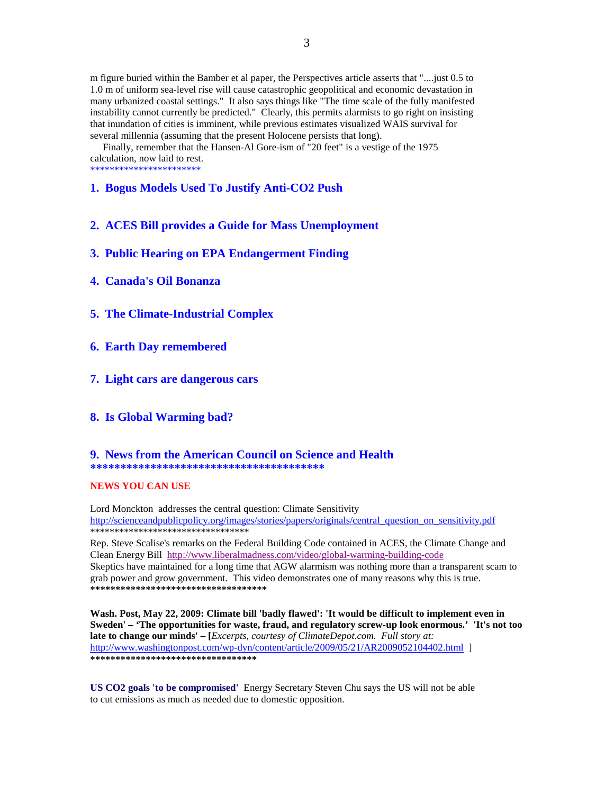m figure buried within the Bamber et al paper, the Perspectives article asserts that "..., just 0.5 to 1.0 m of uniform sea-level rise will cause catastrophic geopolitical and economic devastation in many urbanized coastal settings." It also says things like "The time scale of the fully manifested instability cannot currently be predicted." Clearly, this permits alarmists to go right on insisting that inundation of cities is imminent, while previous estimates visualized WAIS survival for several millennia (assuming that the present Holocene persists that long).

Finally, remember that the Hansen-Al Gore-ism of "20 feet" is a vestige of the 1975 calculation, now laid to rest. \*\*\*\*\*\*\*\*\*\*\*\*\*\*\*\*\*\*\*\*\*\*\*

1. Bogus Models Used To Justify Anti-CO2 Push

- 2. ACES Bill provides a Guide for Mass Unemployment
- 3. Public Hearing on EPA Endangerment Finding
- 4. Canada's Oil Bonanza
- **5. The Climate-Industrial Complex**
- **6. Earth Day remembered**
- 7. Light cars are dangerous cars
- 8. Is Global Warming bad?

#### 9. News from the American Council on Science and Health

### **NEWS YOU CAN USE**

Lord Monckton addresses the central question: Climate Sensitivity http://scienceandpublicpolicy.org/images/stories/papers/originals/central question on sensitivity.pdf \*\*\*\*\*\*\*\*\*\*\*\*\*\*\*\*\*\*\*\*\*\*\*\*\*\*\*\*\*\*\*\*\*

Rep. Steve Scalise's remarks on the Federal Building Code contained in ACES, the Climate Change and Clean Energy Bill http://www.liberalmadness.com/video/global-warming-building-code Skeptics have maintained for a long time that AGW alarmism was nothing more than a transparent scam to grab power and grow government. This video demonstrates one of many reasons why this is true. 

Wash. Post, May 22, 2009: Climate bill 'badly flawed': 'It would be difficult to implement even in Sweden' – 'The opportunities for waste, fraud, and regulatory screw-up look enormous.' It's not too late to change our minds'  $-$  [*Excerpts, courtesy of ClimateDepot.com. Full story at:* http://www.washingtonpost.com/wp-dyn/content/article/2009/05/21/AR2009052104402.html 1 **\*\*\*\*\*\*\*\*\*\*\*\*\*\*\*\*\*\*\*\*\*\*\*\*\*\*\*\*\*\*\*\*\*\*** 

US CO2 goals 'to be compromised' Energy Secretary Steven Chu says the US will not be able to cut emissions as much as needed due to domestic opposition.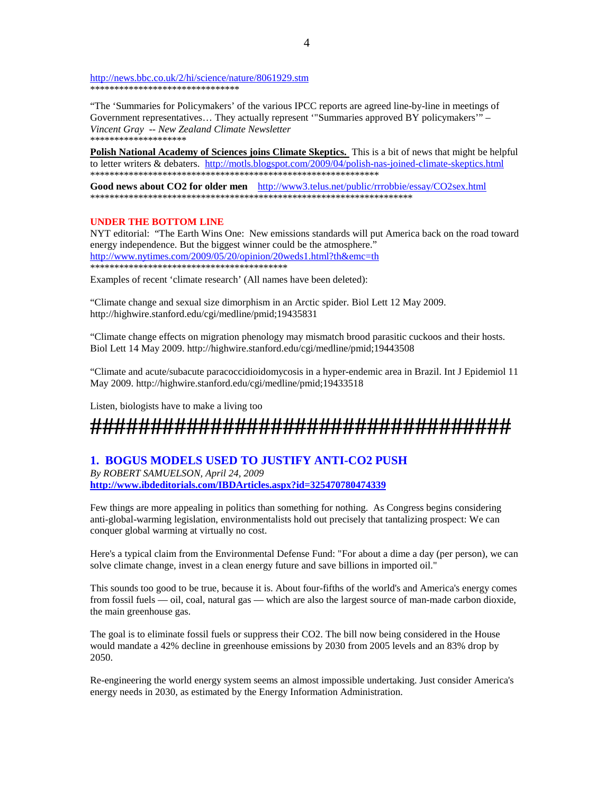http://news.bbc.co.uk/2/hi/science/nature/8061929.stm 

"The 'Summaries for Policymakers' of the various IPCC reports are agreed line-by-line in meetings of Government representatives... They actually represent "Summaries approved BY policymakers" – Vincent Gray -- New Zealand Climate Newsletter \*\*\*\*\*\*\*\*\*\*\*\*\*\*\*\*\*\*\*\*

Polish National Academy of Sciences joins Climate Skeptics. This is a bit of news that might be helpful to letter writers & debaters. http://motls.blogspot.com/2009/04/polish-nas-joined-climate-skeptics.html 

Good news about CO2 for older men http://www3.telus.net/public/rrrobbie/essay/CO2sex.html 

### **UNDER THE BOTTOM LINE**

NYT editorial: "The Earth Wins One: New emissions standards will put America back on the road toward energy independence. But the biggest winner could be the atmosphere." http://www.nytimes.com/2009/05/20/opinion/20weds1.html?th&emc=th 

Examples of recent 'climate research' (All names have been deleted):

"Climate change and sexual size dimorphism in an Arctic spider. Biol Lett 12 May 2009. http://highwire.stanford.edu/cgi/medline/pmid;19435831

"Climate change effects on migration phenology may mismatch brood parasitic cuckoos and their hosts. Biol Lett 14 May 2009. http://highwire.stanford.edu/cgi/medline/pmid;19443508

"Climate and acute/subacute paracoccidioidomycosis in a hyper-endemic area in Brazil. Int J Epidemiol 11 May 2009. http://highwire.stanford.edu/cgi/medline/pmid;19433518

Listen, biologists have to make a living too

## **1. BOGUS MODELS USED TO JUSTIFY ANTI-CO2 PUSH**

By ROBERT SAMUELSON, April 24, 2009 http://www.ibdeditorials.com/IBDArticles.aspx?id=325470780474339

Few things are more appealing in politics than something for nothing. As Congress begins considering anti-global-warming legislation, environmentalists hold out precisely that tantalizing prospect: We can conquer global warming at virtually no cost.

Here's a typical claim from the Environmental Defense Fund: "For about a dime a day (per person), we can solve climate change, invest in a clean energy future and save billions in imported oil."

This sounds too good to be true, because it is. About four-fifths of the world's and America's energy comes from fossil fuels — oil, coal, natural gas — which are also the largest source of man-made carbon dioxide, the main greenhouse gas.

The goal is to eliminate fossil fuels or suppress their CO2. The bill now being considered in the House would mandate a 42% decline in greenhouse emissions by 2030 from 2005 levels and an 83% drop by 2050.

Re-engineering the world energy system seems an almost impossible undertaking. Just consider America's energy needs in 2030, as estimated by the Energy Information Administration.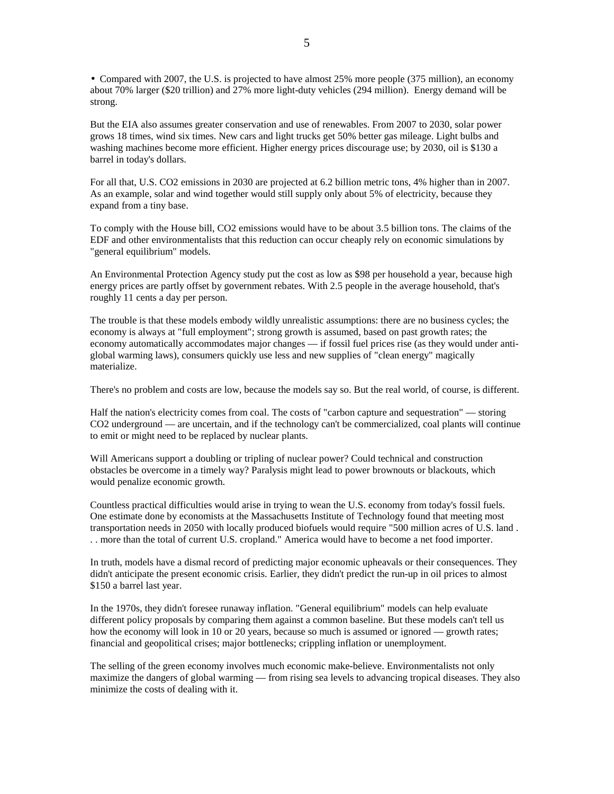• Compared with 2007, the U.S. is projected to have almost 25% more people (375 million), an economy about 70% larger (\$20 trillion) and 27% more light-duty vehicles (294 million). Energy demand will be strong.

But the EIA also assumes greater conservation and use of renewables. From 2007 to 2030, solar power grows 18 times, wind six times. New cars and light trucks get 50% better gas mileage. Light bulbs and washing machines become more efficient. Higher energy prices discourage use; by 2030, oil is \$130 a barrel in today's dollars.

For all that, U.S. CO2 emissions in 2030 are projected at 6.2 billion metric tons, 4% higher than in 2007. As an example, solar and wind together would still supply only about 5% of electricity, because they expand from a tiny base.

To comply with the House bill, CO2 emissions would have to be about 3.5 billion tons. The claims of the EDF and other environmentalists that this reduction can occur cheaply rely on economic simulations by "general equilibrium" models.

An Environmental Protection Agency study put the cost as low as \$98 per household a year, because high energy prices are partly offset by government rebates. With 2.5 people in the average household, that's roughly 11 cents a day per person.

The trouble is that these models embody wildly unrealistic assumptions: there are no business cycles; the economy is always at "full employment"; strong growth is assumed, based on past growth rates; the economy automatically accommodates major changes — if fossil fuel prices rise (as they would under antiglobal warming laws), consumers quickly use less and new supplies of "clean energy" magically materialize.

There's no problem and costs are low, because the models say so. But the real world, of course, is different.

Half the nation's electricity comes from coal. The costs of "carbon capture and sequestration" — storing CO2 underground — are uncertain, and if the technology can't be commercialized, coal plants will continue to emit or might need to be replaced by nuclear plants.

Will Americans support a doubling or tripling of nuclear power? Could technical and construction obstacles be overcome in a timely way? Paralysis might lead to power brownouts or blackouts, which would penalize economic growth.

Countless practical difficulties would arise in trying to wean the U.S. economy from today's fossil fuels. One estimate done by economists at the Massachusetts Institute of Technology found that meeting most transportation needs in 2050 with locally produced biofuels would require "500 million acres of U.S. land . . . more than the total of current U.S. cropland." America would have to become a net food importer.

In truth, models have a dismal record of predicting major economic upheavals or their consequences. They didn't anticipate the present economic crisis. Earlier, they didn't predict the run-up in oil prices to almost \$150 a barrel last year.

In the 1970s, they didn't foresee runaway inflation. "General equilibrium" models can help evaluate different policy proposals by comparing them against a common baseline. But these models can't tell us how the economy will look in 10 or 20 years, because so much is assumed or ignored — growth rates; financial and geopolitical crises; major bottlenecks; crippling inflation or unemployment.

The selling of the green economy involves much economic make-believe. Environmentalists not only maximize the dangers of global warming — from rising sea levels to advancing tropical diseases. They also minimize the costs of dealing with it.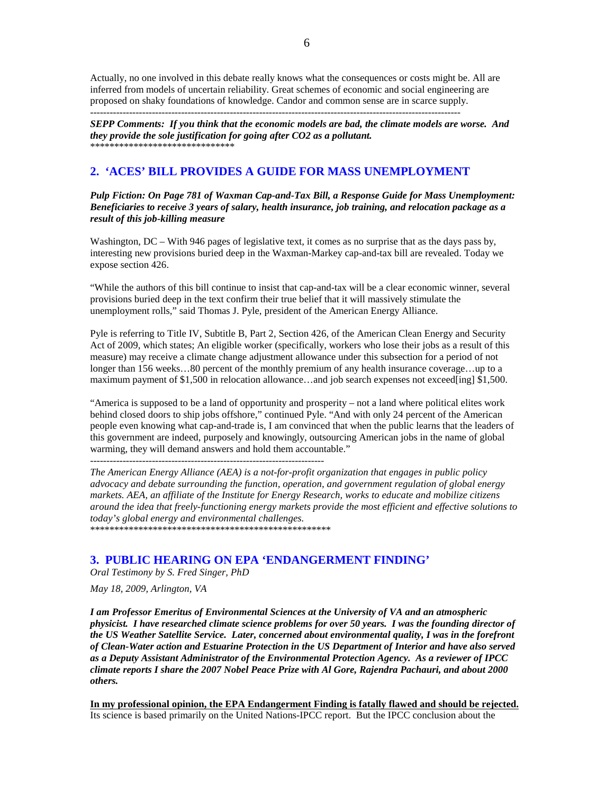Actually, no one involved in this debate really knows what the consequences or costs might be. All are inferred from models of uncertain reliability. Great schemes of economic and social engineering are proposed on shaky foundations of knowledge. Candor and common sense are in scarce supply. ------------------------------------------------------------------------------------------------------------------

*SEPP Comments: If you think that the economic models are bad, the climate models are worse. And they provide the sole justification for going after CO2 as a pollutant.*  \*\*\*\*\*\*\*\*\*\*\*\*\*\*\*\*\*\*\*\*\*\*\*\*\*\*\*\*\*\*

## **2. 'ACES' BILL PROVIDES A GUIDE FOR MASS UNEMPLOYMENT**

*Pulp Fiction: On Page 781 of Waxman Cap-and-Tax Bill, a Response Guide for Mass Unemployment: Beneficiaries to receive 3 years of salary, health insurance, job training, and relocation package as a result of this job-killing measure* 

Washington, DC – With 946 pages of legislative text, it comes as no surprise that as the days pass by, interesting new provisions buried deep in the Waxman-Markey cap-and-tax bill are revealed. Today we expose section 426.

"While the authors of this bill continue to insist that cap-and-tax will be a clear economic winner, several provisions buried deep in the text confirm their true belief that it will massively stimulate the unemployment rolls," said Thomas J. Pyle, president of the American Energy Alliance.

Pyle is referring to Title IV, Subtitle B, Part 2, Section 426, of the American Clean Energy and Security Act of 2009, which states; An eligible worker (specifically, workers who lose their jobs as a result of this measure) may receive a climate change adjustment allowance under this subsection for a period of not longer than 156 weeks…80 percent of the monthly premium of any health insurance coverage…up to a maximum payment of \$1,500 in relocation allowance…and job search expenses not exceed[ing] \$1,500.

"America is supposed to be a land of opportunity and prosperity – not a land where political elites work behind closed doors to ship jobs offshore," continued Pyle. "And with only 24 percent of the American people even knowing what cap-and-trade is, I am convinced that when the public learns that the leaders of this government are indeed, purposely and knowingly, outsourcing American jobs in the name of global warming, they will demand answers and hold them accountable."

*The American Energy Alliance (AEA) is a not-for-profit organization that engages in public policy advocacy and debate surrounding the function, operation, and government regulation of global energy markets. AEA, an affiliate of the Institute for Energy Research, works to educate and mobilize citizens around the idea that freely-functioning energy markets provide the most efficient and effective solutions to today's global energy and environmental challenges.* \*\*\*\*\*\*\*\*\*\*\*\*\*\*\*\*\*\*\*\*\*\*\*\*\*\*\*\*\*\*\*\*\*\*\*\*\*\*\*\*\*\*\*\*\*\*\*\*\*\*

## **3. PUBLIC HEARING ON EPA 'ENDANGERMENT FINDING'**

*Oral Testimony by S. Fred Singer, PhD* 

------------------------------------------------------------------------

*May 18, 2009, Arlington, VA* 

*I am Professor Emeritus of Environmental Sciences at the University of VA and an atmospheric physicist. I have researched climate science problems for over 50 years. I was the founding director of the US Weather Satellite Service. Later, concerned about environmental quality, I was in the forefront of Clean-Water action and Estuarine Protection in the US Department of Interior and have also served as a Deputy Assistant Administrator of the Environmental Protection Agency. As a reviewer of IPCC climate reports I share the 2007 Nobel Peace Prize with Al Gore, Rajendra Pachauri, and about 2000 others.* 

**In my professional opinion, the EPA Endangerment Finding is fatally flawed and should be rejected.** Its science is based primarily on the United Nations-IPCC report. But the IPCC conclusion about the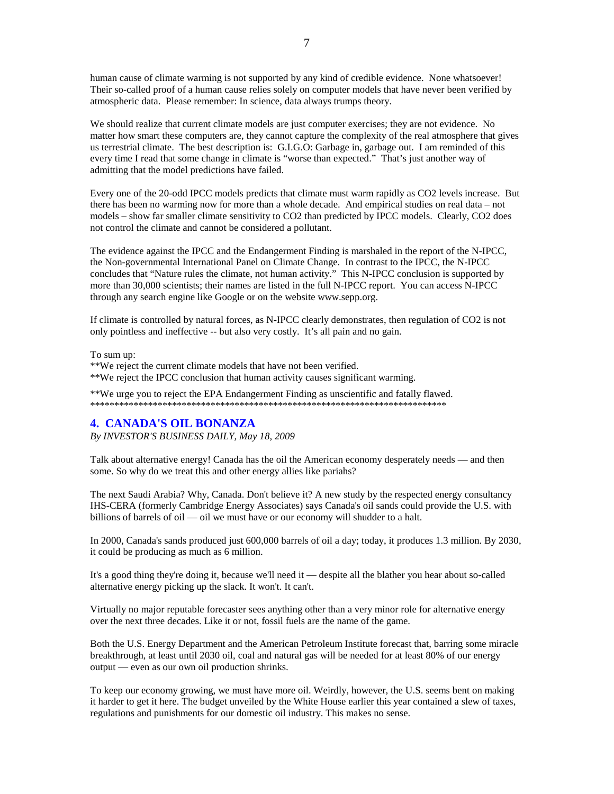human cause of climate warming is not supported by any kind of credible evidence. None whatsoever! Their so-called proof of a human cause relies solely on computer models that have never been verified by atmospheric data. Please remember: In science, data always trumps theory.

We should realize that current climate models are just computer exercises; they are not evidence. No matter how smart these computers are, they cannot capture the complexity of the real atmosphere that gives us terrestrial climate. The best description is: G.I.G.O: Garbage in, garbage out. I am reminded of this every time I read that some change in climate is "worse than expected." That's just another way of admitting that the model predictions have failed.

Every one of the 20-odd IPCC models predicts that climate must warm rapidly as CO2 levels increase. But there has been no warming now for more than a whole decade. And empirical studies on real data – not models – show far smaller climate sensitivity to CO2 than predicted by IPCC models. Clearly, CO2 does not control the climate and cannot be considered a pollutant.

The evidence against the IPCC and the Endangerment Finding is marshaled in the report of the N-IPCC, the Non-governmental International Panel on Climate Change. In contrast to the IPCC, the N-IPCC concludes that "Nature rules the climate, not human activity." This N-IPCC conclusion is supported by more than 30,000 scientists; their names are listed in the full N-IPCC report. You can access N-IPCC through any search engine like Google or on the website www.sepp.org.

If climate is controlled by natural forces, as N-IPCC clearly demonstrates, then regulation of CO2 is not only pointless and ineffective -- but also very costly. It's all pain and no gain.

To sum up:

\*\*We reject the current climate models that have not been verified.

\*\*We reject the IPCC conclusion that human activity causes significant warming.

\*\*We urge you to reject the EPA Endangerment Finding as unscientific and fatally flawed. \*\*\*\*\*\*\*\*\*\*\*\*\*\*\*\*\*\*\*\*\*\*\*\*\*\*\*\*\*\*\*\*\*\*\*\*\*\*\*\*\*\*\*\*\*\*\*\*\*\*\*\*\*\*\*\*\*\*\*\*\*\*\*\*\*\*\*\*\*\*\*\*\*\*

### **4. CANADA'S OIL BONANZA**

*By INVESTOR'S BUSINESS DAILY, May 18, 2009* 

Talk about alternative energy! Canada has the oil the American economy desperately needs — and then some. So why do we treat this and other energy allies like pariahs?

The next Saudi Arabia? Why, Canada. Don't believe it? A new study by the respected energy consultancy IHS-CERA (formerly Cambridge Energy Associates) says Canada's oil sands could provide the U.S. with billions of barrels of oil — oil we must have or our economy will shudder to a halt.

In 2000, Canada's sands produced just 600,000 barrels of oil a day; today, it produces 1.3 million. By 2030, it could be producing as much as 6 million.

It's a good thing they're doing it, because we'll need it — despite all the blather you hear about so-called alternative energy picking up the slack. It won't. It can't.

Virtually no major reputable forecaster sees anything other than a very minor role for alternative energy over the next three decades. Like it or not, fossil fuels are the name of the game.

Both the U.S. Energy Department and the American Petroleum Institute forecast that, barring some miracle breakthrough, at least until 2030 oil, coal and natural gas will be needed for at least 80% of our energy output — even as our own oil production shrinks.

To keep our economy growing, we must have more oil. Weirdly, however, the U.S. seems bent on making it harder to get it here. The budget unveiled by the White House earlier this year contained a slew of taxes, regulations and punishments for our domestic oil industry. This makes no sense.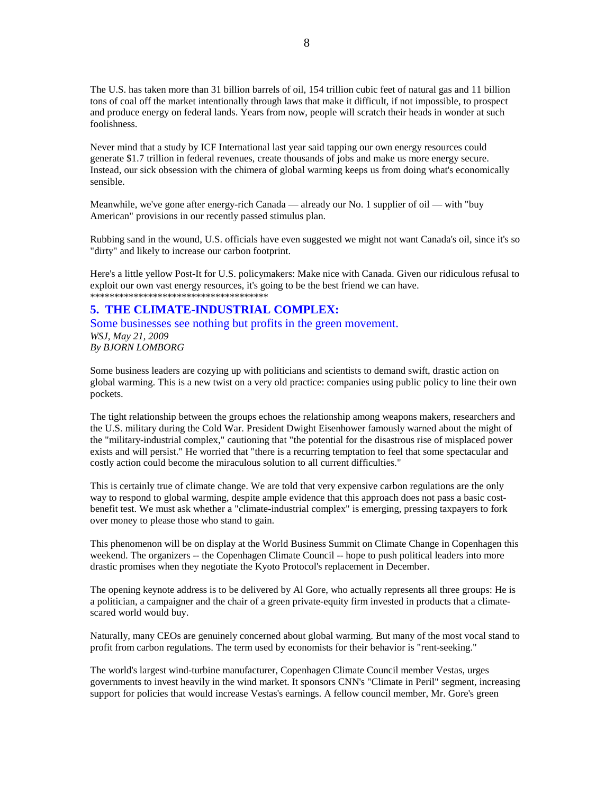The U.S. has taken more than 31 billion barrels of oil, 154 trillion cubic feet of natural gas and 11 billion tons of coal off the market intentionally through laws that make it difficult, if not impossible, to prospect and produce energy on federal lands. Years from now, people will scratch their heads in wonder at such foolishness.

Never mind that a study by ICF International last year said tapping our own energy resources could generate \$1.7 trillion in federal revenues, create thousands of jobs and make us more energy secure. Instead, our sick obsession with the chimera of global warming keeps us from doing what's economically sensible.

Meanwhile, we've gone after energy-rich Canada — already our No. 1 supplier of oil — with "buy American" provisions in our recently passed stimulus plan.

Rubbing sand in the wound, U.S. officials have even suggested we might not want Canada's oil, since it's so "dirty" and likely to increase our carbon footprint.

Here's a little yellow Post-It for U.S. policymakers: Make nice with Canada. Given our ridiculous refusal to exploit our own vast energy resources, it's going to be the best friend we can have. \*\*\*\*\*\*\*\*\*\*\*\*\*\*\*\*\*\*\*\*\*\*\*\*\*\*\*\*\*\*\*\*\*\*\*\*\*

### **5. THE CLIMATE-INDUSTRIAL COMPLEX:**

Some businesses see nothing but profits in the green movement. *WSJ, May 21, 2009 By BJORN LOMBORG* 

Some business leaders are cozying up with politicians and scientists to demand swift, drastic action on global warming. This is a new twist on a very old practice: companies using public policy to line their own pockets.

The tight relationship between the groups echoes the relationship among weapons makers, researchers and the U.S. military during the Cold War. President Dwight Eisenhower famously warned about the might of the "military-industrial complex," cautioning that "the potential for the disastrous rise of misplaced power exists and will persist." He worried that "there is a recurring temptation to feel that some spectacular and costly action could become the miraculous solution to all current difficulties."

This is certainly true of climate change. We are told that very expensive carbon regulations are the only way to respond to global warming, despite ample evidence that this approach does not pass a basic costbenefit test. We must ask whether a "climate-industrial complex" is emerging, pressing taxpayers to fork over money to please those who stand to gain.

This phenomenon will be on display at the World Business Summit on Climate Change in Copenhagen this weekend. The organizers -- the Copenhagen Climate Council -- hope to push political leaders into more drastic promises when they negotiate the Kyoto Protocol's replacement in December.

The opening keynote address is to be delivered by Al Gore, who actually represents all three groups: He is a politician, a campaigner and the chair of a green private-equity firm invested in products that a climatescared world would buy.

Naturally, many CEOs are genuinely concerned about global warming. But many of the most vocal stand to profit from carbon regulations. The term used by economists for their behavior is "rent-seeking."

The world's largest wind-turbine manufacturer, Copenhagen Climate Council member Vestas, urges governments to invest heavily in the wind market. It sponsors CNN's "Climate in Peril" segment, increasing support for policies that would increase Vestas's earnings. A fellow council member, Mr. Gore's green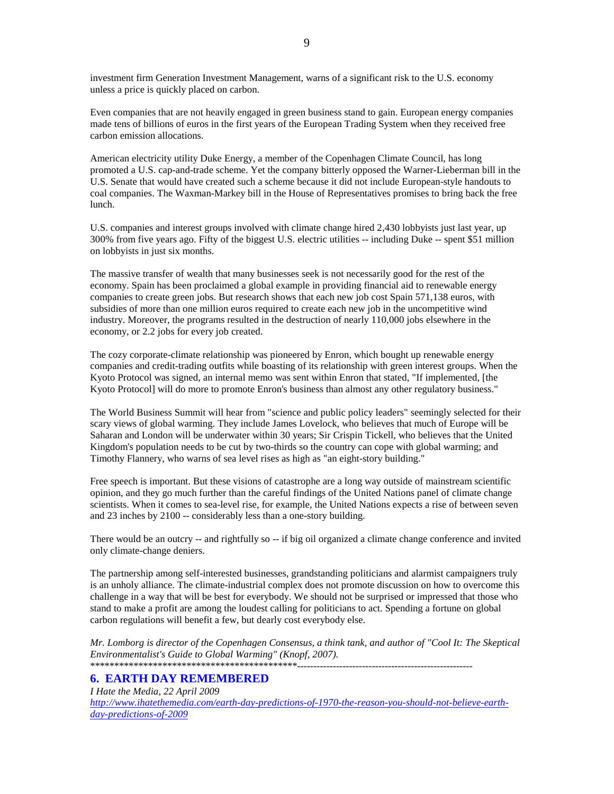investment firm Generation Investment Management, warns of a significant risk to the U.S. economy unless a price is quickly placed on carbon.

Even companies that are not heavily engaged in green business stand to gain. European energy companies made tens of billions of euros in the first years of the European Trading System when they received free carbon emission allocations.

American electricity utility Duke Energy, a member of the Copenhagen Climate Council, has long promoted a U.S. cap-and-trade scheme. Yet the company bitterly opposed the Warner-Lieberman bill in the U.S. Senate that would have created such a scheme because it did not include European-style handouts to coal companies. The Waxman-Markey bill in the House of Representatives promises to bring back the free lunch.

U.S. companies and interest groups involved with climate change hired 2,430 lobbyists just last year, up 300% from five years ago. Fifty of the biggest U.S. electric utilities -- including Duke -- spent \$51 million on lobbyists in just six months.

The massive transfer of wealth that many businesses seek is not necessarily good for the rest of the economy. Spain has been proclaimed a global example in providing financial aid to renewable energy companies to create green jobs. But research shows that each new job cost Spain 571,138 euros, with subsidies of more than one million euros required to create each new job in the uncompetitive wind industry. Moreover, the programs resulted in the destruction of nearly 110,000 jobs elsewhere in the economy, or 2.2 jobs for every job created.

The cozy corporate-climate relationship was pioneered by Enron, which bought up renewable energy companies and credit-trading outfits while boasting of its relationship with green interest groups. When the Kyoto Protocol was signed, an internal memo was sent within Enron that stated, "If implemented, [the Kyoto Protocol] will do more to promote Enron's business than almost any other regulatory business."

The World Business Summit will hear from "science and public policy leaders" seemingly selected for their scary views of global warming. They include James Lovelock, who believes that much of Europe will be Saharan and London will be underwater within 30 years; Sir Crispin Tickell, who believes that the United Kingdom's population needs to be cut by two-thirds so the country can cope with global warming; and Timothy Flannery, who warns of sea level rises as high as "an eight-story building."

Free speech is important. But these visions of catastrophe are a long way outside of mainstream scientific opinion, and they go much further than the careful findings of the United Nations panel of climate change scientists. When it comes to sea-level rise, for example, the United Nations expects a rise of between seven and 23 inches by 2100 -- considerably less than a one-story building.

There would be an outcry -- and rightfully so -- if big oil organized a climate change conference and invited only climate-change deniers.

The partnership among self-interested businesses, grandstanding politicians and alarmist campaigners truly is an unholy alliance. The climate-industrial complex does not promote discussion on how to overcome this challenge in a way that will be best for everybody. We should not be surprised or impressed that those who stand to make a profit are among the loudest calling for politicians to act. Spending a fortune on global carbon regulations will benefit a few, but dearly cost everybody else.

*Mr. Lomborg is director of the Copenhagen Consensus, a think tank, and author of "Cool It: The Skeptical Environmentalist's Guide to Global Warming" (Knopf, 2007).*  \*\*\*\*\*\*\*\*\*\*\*\*\*\*\*\*\*\*\*\*\*\*\*\*\*\*\*\*\*\*\*\*\*\*\*\*\*\*\*\*\*\*\*------------------------------------------------------

## **6. EARTH DAY REMEMBERED**

*I Hate the Media, 22 April 2009 http://www.ihatethemedia.com/earth-day-predictions-of-1970-the-reason-you-should-not-believe-earthday-predictions-of-2009*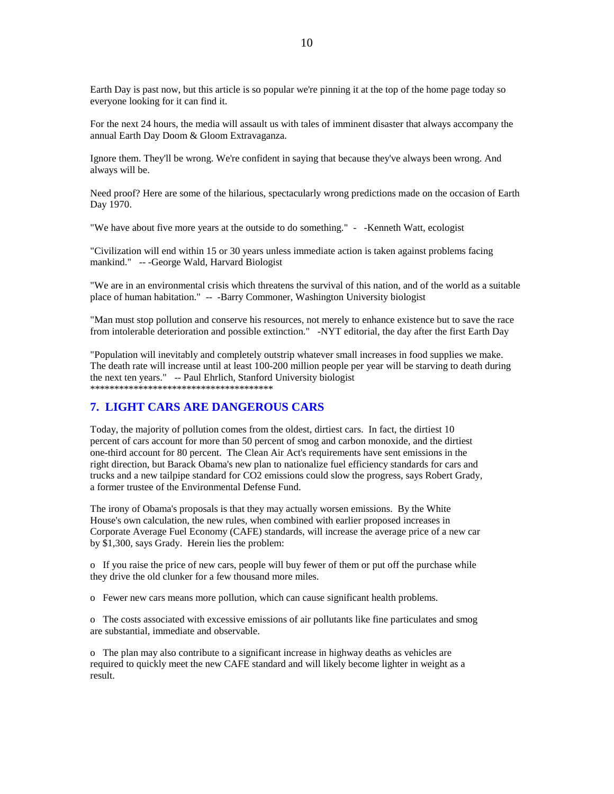Earth Day is past now, but this article is so popular we're pinning it at the top of the home page today so everyone looking for it can find it.

For the next 24 hours, the media will assault us with tales of imminent disaster that always accompany the annual Earth Day Doom & Gloom Extravaganza.

Ignore them. They'll be wrong. We're confident in saying that because they've always been wrong. And always will be.

Need proof? Here are some of the hilarious, spectacularly wrong predictions made on the occasion of Earth Day 1970.

"We have about five more years at the outside to do something." - -Kenneth Watt, ecologist

"Civilization will end within 15 or 30 years unless immediate action is taken against problems facing mankind." -- -George Wald, Harvard Biologist

"We are in an environmental crisis which threatens the survival of this nation, and of the world as a suitable place of human habitation." -- -Barry Commoner, Washington University biologist

"Man must stop pollution and conserve his resources, not merely to enhance existence but to save the race from intolerable deterioration and possible extinction." -NYT editorial, the day after the first Earth Day

"Population will inevitably and completely outstrip whatever small increases in food supplies we make. The death rate will increase until at least 100-200 million people per year will be starving to death during the next ten years." -- Paul Ehrlich, Stanford University biologist \*\*\*\*\*\*\*\*\*\*\*\*\*\*\*\*\*\*\*\*\*\*\*\*\*\*\*\*\*\*\*\*\*\*\*\*\*\*

## **7. LIGHT CARS ARE DANGEROUS CARS**

Today, the majority of pollution comes from the oldest, dirtiest cars. In fact, the dirtiest 10 percent of cars account for more than 50 percent of smog and carbon monoxide, and the dirtiest one-third account for 80 percent. The Clean Air Act's requirements have sent emissions in the right direction, but Barack Obama's new plan to nationalize fuel efficiency standards for cars and trucks and a new tailpipe standard for CO2 emissions could slow the progress, says Robert Grady, a former trustee of the Environmental Defense Fund.

The irony of Obama's proposals is that they may actually worsen emissions. By the White House's own calculation, the new rules, when combined with earlier proposed increases in Corporate Average Fuel Economy (CAFE) standards, will increase the average price of a new car by \$1,300, says Grady. Herein lies the problem:

o If you raise the price of new cars, people will buy fewer of them or put off the purchase while they drive the old clunker for a few thousand more miles.

o Fewer new cars means more pollution, which can cause significant health problems.

o The costs associated with excessive emissions of air pollutants like fine particulates and smog are substantial, immediate and observable.

o The plan may also contribute to a significant increase in highway deaths as vehicles are required to quickly meet the new CAFE standard and will likely become lighter in weight as a result.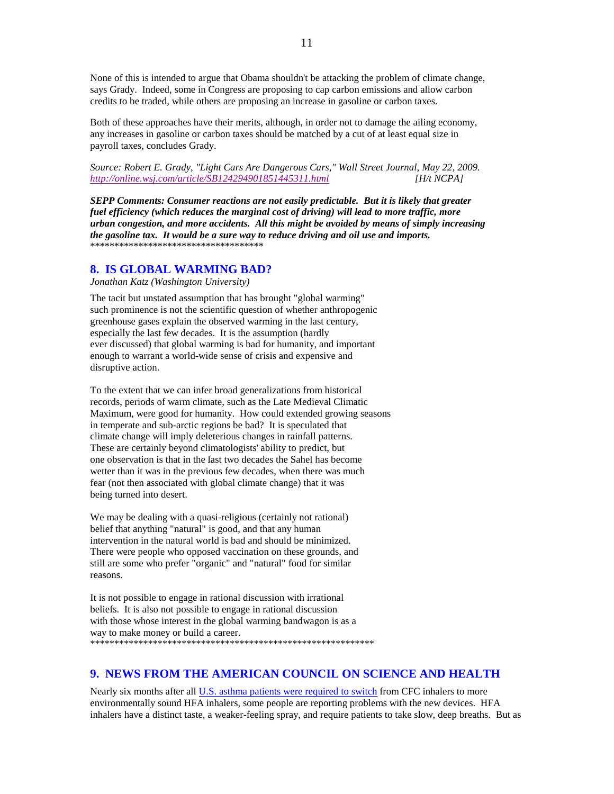None of this is intended to argue that Obama shouldn't be attacking the problem of climate change, says Grady. Indeed, some in Congress are proposing to cap carbon emissions and allow carbon credits to be traded, while others are proposing an increase in gasoline or carbon taxes.

Both of these approaches have their merits, although, in order not to damage the ailing economy, any increases in gasoline or carbon taxes should be matched by a cut of at least equal size in payroll taxes, concludes Grady.

*Source: Robert E. Grady, "Light Cars Are Dangerous Cars," Wall Street Journal, May 22, 2009. http://online.wsj.com/article/SB124294901851445311.html [H/t NCPA]* 

*SEPP Comments: Consumer reactions are not easily predictable. But it is likely that greater fuel efficiency (which reduces the marginal cost of driving) will lead to more traffic, more urban congestion, and more accidents. All this might be avoided by means of simply increasing the gasoline tax. It would be a sure way to reduce driving and oil use and imports.*  \*\*\*\*\*\*\*\*\*\*\*\*\*\*\*\*\*\*\*\*\*\*\*\*\*\*\*\*\*\*\*\*\*\*\*\*

### **8. IS GLOBAL WARMING BAD?**

*Jonathan Katz (Washington University)* 

The tacit but unstated assumption that has brought "global warming" such prominence is not the scientific question of whether anthropogenic greenhouse gases explain the observed warming in the last century, especially the last few decades. It is the assumption (hardly ever discussed) that global warming is bad for humanity, and important enough to warrant a world-wide sense of crisis and expensive and disruptive action.

To the extent that we can infer broad generalizations from historical records, periods of warm climate, such as the Late Medieval Climatic Maximum, were good for humanity. How could extended growing seasons in temperate and sub-arctic regions be bad? It is speculated that climate change will imply deleterious changes in rainfall patterns. These are certainly beyond climatologists' ability to predict, but one observation is that in the last two decades the Sahel has become wetter than it was in the previous few decades, when there was much fear (not then associated with global climate change) that it was being turned into desert.

We may be dealing with a quasi-religious (certainly not rational) belief that anything "natural" is good, and that any human intervention in the natural world is bad and should be minimized. There were people who opposed vaccination on these grounds, and still are some who prefer "organic" and "natural" food for similar reasons.

It is not possible to engage in rational discussion with irrational beliefs. It is also not possible to engage in rational discussion with those whose interest in the global warming bandwagon is as a way to make money or build a career. \*\*\*\*\*\*\*\*\*\*\*\*\*\*\*\*\*\*\*\*\*\*\*\*\*\*\*\*\*\*\*\*\*\*\*\*\*\*\*\*\*\*\*\*\*\*\*\*\*\*\*\*\*\*\*\*\*\*\*

### **9. NEWS FROM THE AMERICAN COUNCIL ON SCIENCE AND HEALTH**

Nearly six months after all U.S. asthma patients were required to switch from CFC inhalers to more environmentally sound HFA inhalers, some people are reporting problems with the new devices. HFA inhalers have a distinct taste, a weaker-feeling spray, and require patients to take slow, deep breaths. But as